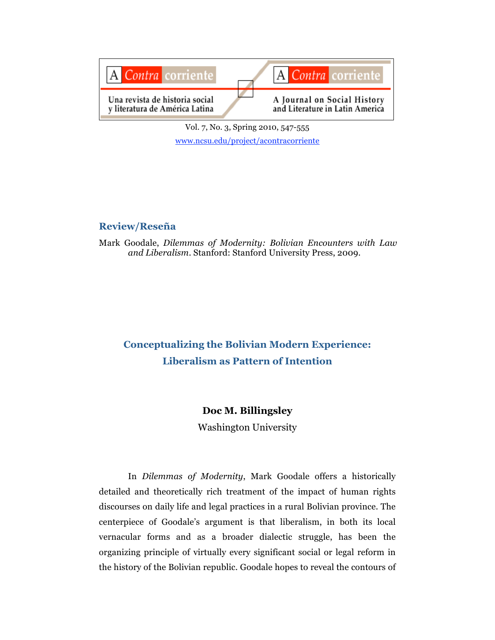

Vol. 7, No. 3, Spring 2010, 547-555 www.ncsu.edu/project/acontracorriente

## **Review/Reseña**

Mark Goodale, *Dilemmas of Modernity: Bolivian Encounters with Law and Liberalism*. Stanford: Stanford University Press, 2009.

# **Conceptualizing the Bolivian Modern Experience: Liberalism as Pattern of Intention**

## **Doc M. Billingsley**

Washington University

In *Dilemmas of Modernity*, Mark Goodale offers a historically detailed and theoretically rich treatment of the impact of human rights discourses on daily life and legal practices in a rural Bolivian province. The centerpiece of Goodale's argument is that liberalism, in both its local vernacular forms and as a broader dialectic struggle, has been the organizing principle of virtually every significant social or legal reform in the history of the Bolivian republic. Goodale hopes to reveal the contours of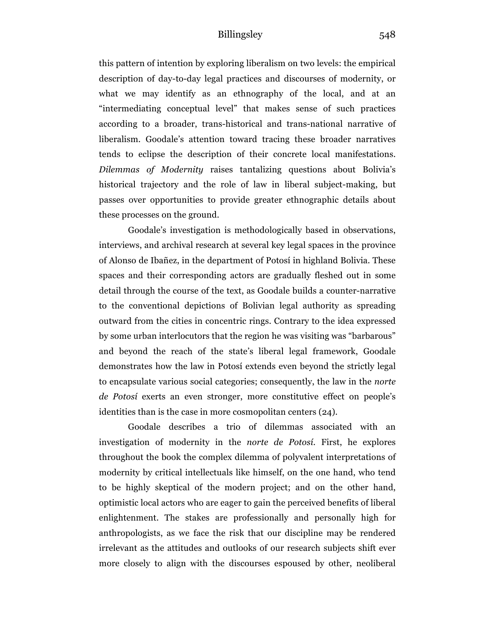this pattern of intention by exploring liberalism on two levels: the empirical description of day-to-day legal practices and discourses of modernity, or what we may identify as an ethnography of the local, and at an "intermediating conceptual level" that makes sense of such practices according to a broader, trans-historical and trans-national narrative of liberalism. Goodale's attention toward tracing these broader narratives tends to eclipse the description of their concrete local manifestations. *Dilemmas of Modernity* raises tantalizing questions about Bolivia's historical trajectory and the role of law in liberal subject-making, but passes over opportunities to provide greater ethnographic details about these processes on the ground.

Goodale's investigation is methodologically based in observations, interviews, and archival research at several key legal spaces in the province of Alonso de Ibañez, in the department of Potosí in highland Bolivia. These spaces and their corresponding actors are gradually fleshed out in some detail through the course of the text, as Goodale builds a counter-narrative to the conventional depictions of Bolivian legal authority as spreading outward from the cities in concentric rings. Contrary to the idea expressed by some urban interlocutors that the region he was visiting was "barbarous" and beyond the reach of the state's liberal legal framework, Goodale demonstrates how the law in Potosí extends even beyond the strictly legal to encapsulate various social categories; consequently, the law in the *norte de Potosí* exerts an even stronger, more constitutive effect on people's identities than is the case in more cosmopolitan centers (24).

Goodale describes a trio of dilemmas associated with an investigation of modernity in the *norte de Potosí.* First, he explores throughout the book the complex dilemma of polyvalent interpretations of modernity by critical intellectuals like himself, on the one hand, who tend to be highly skeptical of the modern project; and on the other hand, optimistic local actors who are eager to gain the perceived benefits of liberal enlightenment. The stakes are professionally and personally high for anthropologists, as we face the risk that our discipline may be rendered irrelevant as the attitudes and outlooks of our research subjects shift ever more closely to align with the discourses espoused by other, neoliberal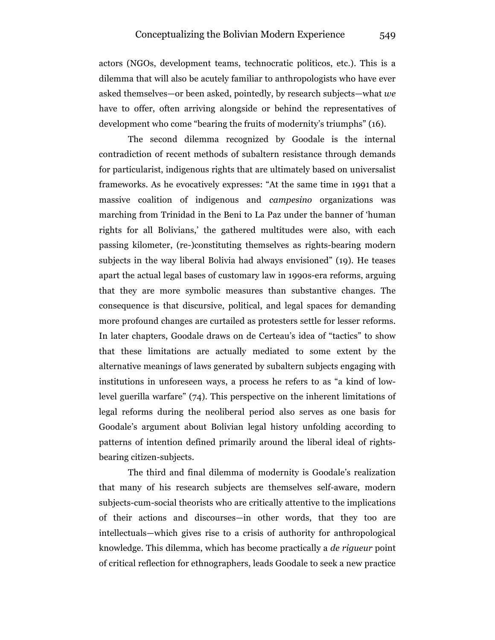actors (NGOs, development teams, technocratic politicos, etc.). This is a dilemma that will also be acutely familiar to anthropologists who have ever asked themselves—or been asked, pointedly, by research subjects—what *we* have to offer, often arriving alongside or behind the representatives of development who come "bearing the fruits of modernity's triumphs" (16).

The second dilemma recognized by Goodale is the internal contradiction of recent methods of subaltern resistance through demands for particularist, indigenous rights that are ultimately based on universalist frameworks. As he evocatively expresses: "At the same time in 1991 that a massive coalition of indigenous and *campesino* organizations was marching from Trinidad in the Beni to La Paz under the banner of 'human rights for all Bolivians,' the gathered multitudes were also, with each passing kilometer, (re-)constituting themselves as rights-bearing modern subjects in the way liberal Bolivia had always envisioned" (19). He teases apart the actual legal bases of customary law in 1990s-era reforms, arguing that they are more symbolic measures than substantive changes. The consequence is that discursive, political, and legal spaces for demanding more profound changes are curtailed as protesters settle for lesser reforms. In later chapters, Goodale draws on de Certeau's idea of "tactics" to show that these limitations are actually mediated to some extent by the alternative meanings of laws generated by subaltern subjects engaging with institutions in unforeseen ways, a process he refers to as "a kind of lowlevel guerilla warfare" (74). This perspective on the inherent limitations of legal reforms during the neoliberal period also serves as one basis for Goodale's argument about Bolivian legal history unfolding according to patterns of intention defined primarily around the liberal ideal of rightsbearing citizen-subjects.

The third and final dilemma of modernity is Goodale's realization that many of his research subjects are themselves self-aware, modern subjects-cum-social theorists who are critically attentive to the implications of their actions and discourses—in other words, that they too are intellectuals—which gives rise to a crisis of authority for anthropological knowledge. This dilemma, which has become practically a *de rigueur* point of critical reflection for ethnographers, leads Goodale to seek a new practice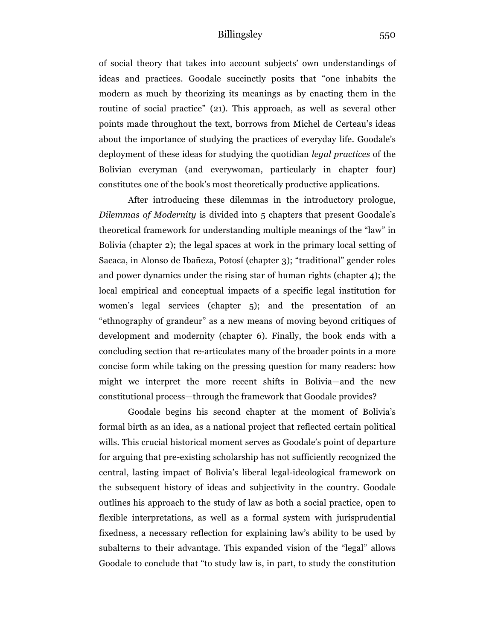of social theory that takes into account subjects' own understandings of ideas and practices. Goodale succinctly posits that "one inhabits the modern as much by theorizing its meanings as by enacting them in the routine of social practice" (21). This approach, as well as several other points made throughout the text, borrows from Michel de Certeau's ideas about the importance of studying the practices of everyday life. Goodale's deployment of these ideas for studying the quotidian *legal practices* of the Bolivian everyman (and everywoman, particularly in chapter four) constitutes one of the book's most theoretically productive applications.

After introducing these dilemmas in the introductory prologue, *Dilemmas of Modernity* is divided into 5 chapters that present Goodale's theoretical framework for understanding multiple meanings of the "law" in Bolivia (chapter 2); the legal spaces at work in the primary local setting of Sacaca, in Alonso de Ibañeza, Potosí (chapter 3); "traditional" gender roles and power dynamics under the rising star of human rights (chapter 4); the local empirical and conceptual impacts of a specific legal institution for women's legal services (chapter 5); and the presentation of an "ethnography of grandeur" as a new means of moving beyond critiques of development and modernity (chapter 6). Finally, the book ends with a concluding section that re-articulates many of the broader points in a more concise form while taking on the pressing question for many readers: how might we interpret the more recent shifts in Bolivia—and the new constitutional process—through the framework that Goodale provides?

Goodale begins his second chapter at the moment of Bolivia's formal birth as an idea, as a national project that reflected certain political wills. This crucial historical moment serves as Goodale's point of departure for arguing that pre-existing scholarship has not sufficiently recognized the central, lasting impact of Bolivia's liberal legal-ideological framework on the subsequent history of ideas and subjectivity in the country. Goodale outlines his approach to the study of law as both a social practice, open to flexible interpretations, as well as a formal system with jurisprudential fixedness, a necessary reflection for explaining law's ability to be used by subalterns to their advantage. This expanded vision of the "legal" allows Goodale to conclude that "to study law is, in part, to study the constitution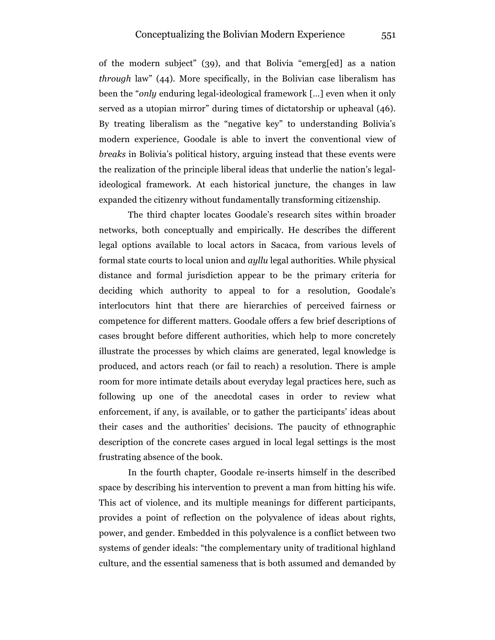of the modern subject" (39), and that Bolivia "emerg[ed] as a nation *through* law" (44). More specifically, in the Bolivian case liberalism has been the "*only* enduring legal-ideological framework […] even when it only served as a utopian mirror" during times of dictatorship or upheaval (46). By treating liberalism as the "negative key" to understanding Bolivia's modern experience, Goodale is able to invert the conventional view of *breaks* in Bolivia's political history, arguing instead that these events were the realization of the principle liberal ideas that underlie the nation's legalideological framework. At each historical juncture, the changes in law expanded the citizenry without fundamentally transforming citizenship.

The third chapter locates Goodale's research sites within broader networks, both conceptually and empirically. He describes the different legal options available to local actors in Sacaca, from various levels of formal state courts to local union and *ayllu* legal authorities. While physical distance and formal jurisdiction appear to be the primary criteria for deciding which authority to appeal to for a resolution, Goodale's interlocutors hint that there are hierarchies of perceived fairness or competence for different matters. Goodale offers a few brief descriptions of cases brought before different authorities, which help to more concretely illustrate the processes by which claims are generated, legal knowledge is produced, and actors reach (or fail to reach) a resolution. There is ample room for more intimate details about everyday legal practices here, such as following up one of the anecdotal cases in order to review what enforcement, if any, is available, or to gather the participants' ideas about their cases and the authorities' decisions. The paucity of ethnographic description of the concrete cases argued in local legal settings is the most frustrating absence of the book.

In the fourth chapter, Goodale re-inserts himself in the described space by describing his intervention to prevent a man from hitting his wife. This act of violence, and its multiple meanings for different participants, provides a point of reflection on the polyvalence of ideas about rights, power, and gender. Embedded in this polyvalence is a conflict between two systems of gender ideals: "the complementary unity of traditional highland culture, and the essential sameness that is both assumed and demanded by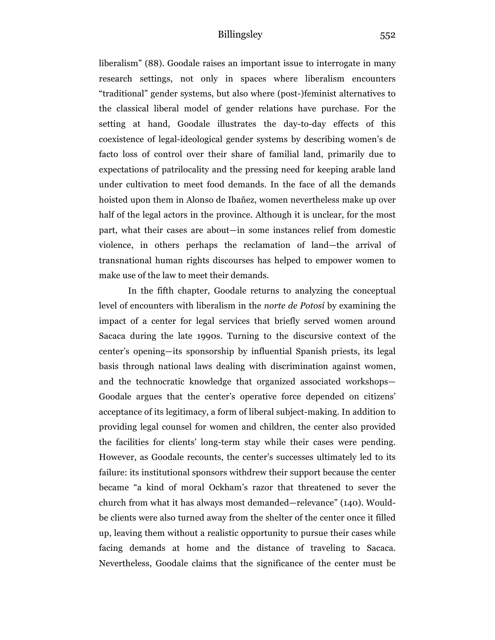liberalism" (88). Goodale raises an important issue to interrogate in many research settings, not only in spaces where liberalism encounters "traditional" gender systems, but also where (post-)feminist alternatives to the classical liberal model of gender relations have purchase. For the setting at hand, Goodale illustrates the day-to-day effects of this coexistence of legal-ideological gender systems by describing women's de facto loss of control over their share of familial land, primarily due to expectations of patrilocality and the pressing need for keeping arable land under cultivation to meet food demands. In the face of all the demands hoisted upon them in Alonso de Ibañez, women nevertheless make up over half of the legal actors in the province. Although it is unclear, for the most part, what their cases are about—in some instances relief from domestic violence, in others perhaps the reclamation of land—the arrival of transnational human rights discourses has helped to empower women to make use of the law to meet their demands.

In the fifth chapter, Goodale returns to analyzing the conceptual level of encounters with liberalism in the *norte de Potosí* by examining the impact of a center for legal services that briefly served women around Sacaca during the late 1990s. Turning to the discursive context of the center's opening—its sponsorship by influential Spanish priests, its legal basis through national laws dealing with discrimination against women, and the technocratic knowledge that organized associated workshops— Goodale argues that the center's operative force depended on citizens' acceptance of its legitimacy, a form of liberal subject-making. In addition to providing legal counsel for women and children, the center also provided the facilities for clients' long-term stay while their cases were pending. However, as Goodale recounts, the center's successes ultimately led to its failure: its institutional sponsors withdrew their support because the center became "a kind of moral Ockham's razor that threatened to sever the church from what it has always most demanded—relevance" (140). Wouldbe clients were also turned away from the shelter of the center once it filled up, leaving them without a realistic opportunity to pursue their cases while facing demands at home and the distance of traveling to Sacaca. Nevertheless, Goodale claims that the significance of the center must be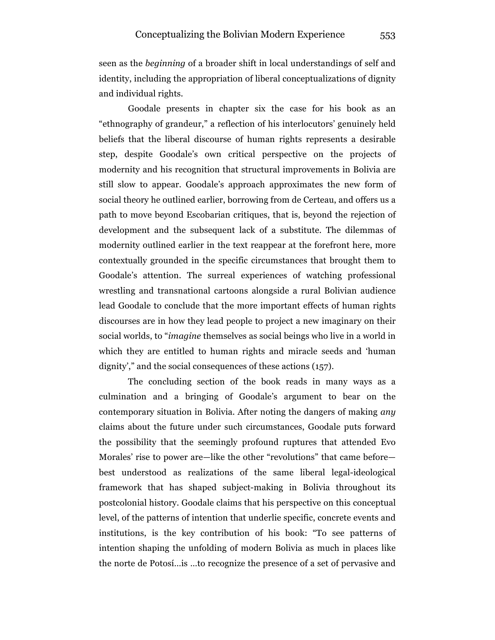seen as the *beginning* of a broader shift in local understandings of self and identity, including the appropriation of liberal conceptualizations of dignity and individual rights.

Goodale presents in chapter six the case for his book as an "ethnography of grandeur," a reflection of his interlocutors' genuinely held beliefs that the liberal discourse of human rights represents a desirable step, despite Goodale's own critical perspective on the projects of modernity and his recognition that structural improvements in Bolivia are still slow to appear. Goodale's approach approximates the new form of social theory he outlined earlier, borrowing from de Certeau, and offers us a path to move beyond Escobarian critiques, that is, beyond the rejection of development and the subsequent lack of a substitute. The dilemmas of modernity outlined earlier in the text reappear at the forefront here, more contextually grounded in the specific circumstances that brought them to Goodale's attention. The surreal experiences of watching professional wrestling and transnational cartoons alongside a rural Bolivian audience lead Goodale to conclude that the more important effects of human rights discourses are in how they lead people to project a new imaginary on their social worlds, to "*imagine* themselves as social beings who live in a world in which they are entitled to human rights and miracle seeds and 'human dignity'," and the social consequences of these actions (157).

The concluding section of the book reads in many ways as a culmination and a bringing of Goodale's argument to bear on the contemporary situation in Bolivia. After noting the dangers of making *any*  claims about the future under such circumstances, Goodale puts forward the possibility that the seemingly profound ruptures that attended Evo Morales' rise to power are—like the other "revolutions" that came before best understood as realizations of the same liberal legal-ideological framework that has shaped subject-making in Bolivia throughout its postcolonial history. Goodale claims that his perspective on this conceptual level, of the patterns of intention that underlie specific, concrete events and institutions, is the key contribution of his book: "To see patterns of intention shaping the unfolding of modern Bolivia as much in places like the norte de Potosí…is …to recognize the presence of a set of pervasive and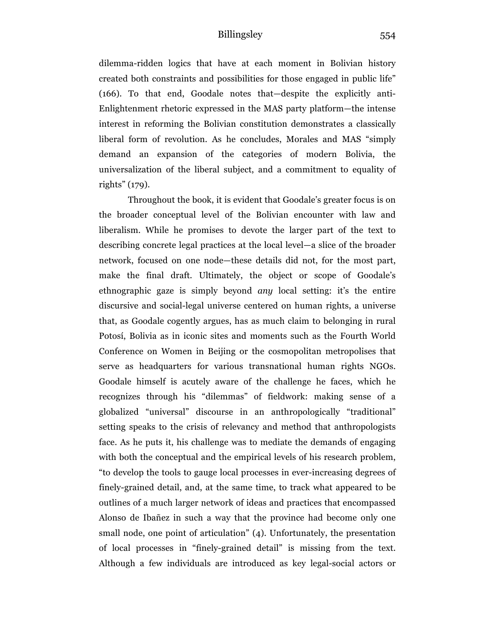dilemma-ridden logics that have at each moment in Bolivian history created both constraints and possibilities for those engaged in public life" (166). To that end, Goodale notes that—despite the explicitly anti-Enlightenment rhetoric expressed in the MAS party platform—the intense interest in reforming the Bolivian constitution demonstrates a classically liberal form of revolution. As he concludes, Morales and MAS "simply demand an expansion of the categories of modern Bolivia, the universalization of the liberal subject, and a commitment to equality of rights" (179).

Throughout the book, it is evident that Goodale's greater focus is on the broader conceptual level of the Bolivian encounter with law and liberalism. While he promises to devote the larger part of the text to describing concrete legal practices at the local level—a slice of the broader network, focused on one node—these details did not, for the most part, make the final draft. Ultimately, the object or scope of Goodale's ethnographic gaze is simply beyond *any* local setting: it's the entire discursive and social-legal universe centered on human rights, a universe that, as Goodale cogently argues, has as much claim to belonging in rural Potosí, Bolivia as in iconic sites and moments such as the Fourth World Conference on Women in Beijing or the cosmopolitan metropolises that serve as headquarters for various transnational human rights NGOs. Goodale himself is acutely aware of the challenge he faces, which he recognizes through his "dilemmas" of fieldwork: making sense of a globalized "universal" discourse in an anthropologically "traditional" setting speaks to the crisis of relevancy and method that anthropologists face. As he puts it, his challenge was to mediate the demands of engaging with both the conceptual and the empirical levels of his research problem, "to develop the tools to gauge local processes in ever-increasing degrees of finely-grained detail, and, at the same time, to track what appeared to be outlines of a much larger network of ideas and practices that encompassed Alonso de Ibañez in such a way that the province had become only one small node, one point of articulation" (4). Unfortunately, the presentation of local processes in "finely-grained detail" is missing from the text. Although a few individuals are introduced as key legal-social actors or